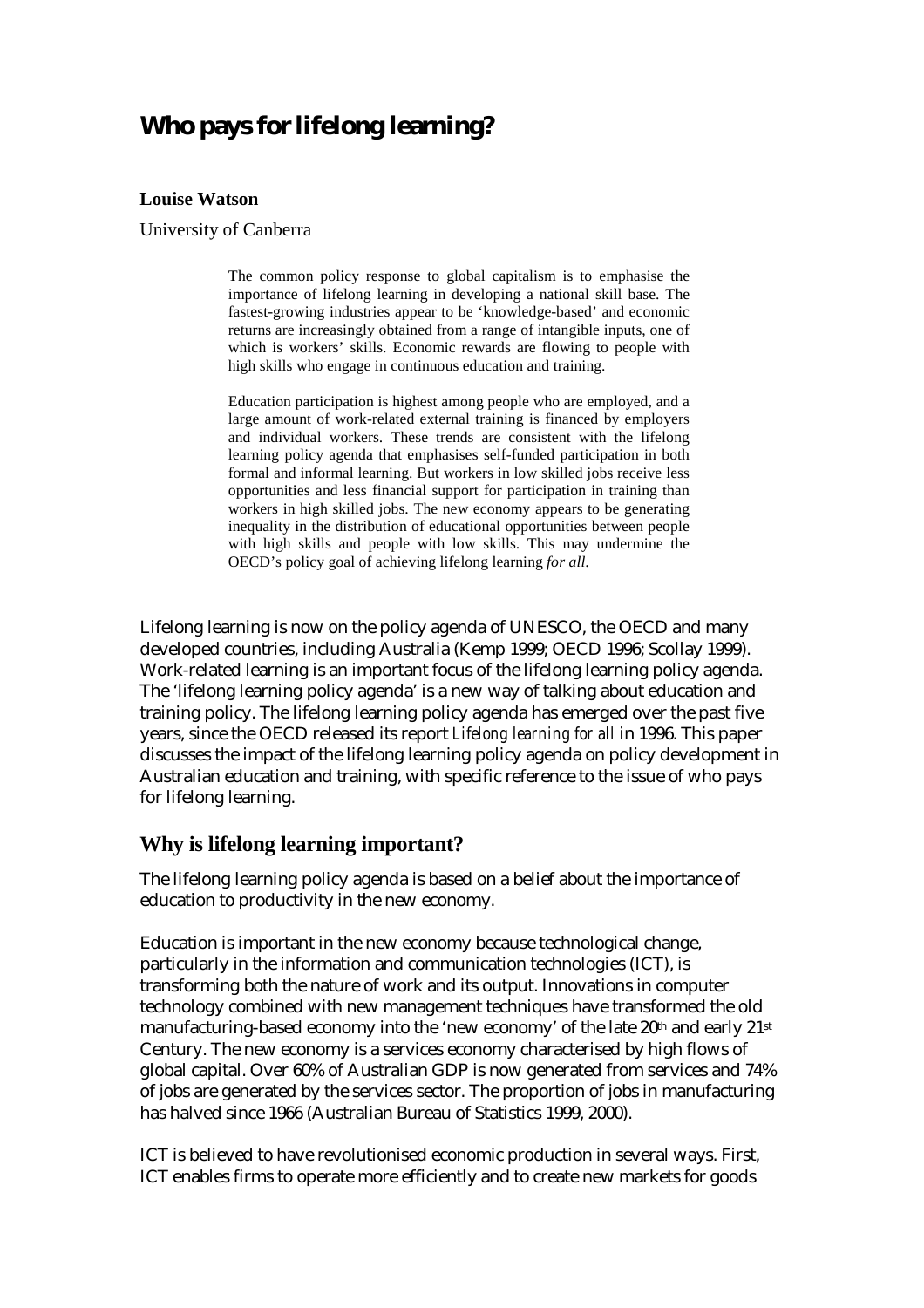# **Who pays for lifelong learning?**

#### **Louise Watson**

University of Canberra

The common policy response to global capitalism is to emphasise the importance of lifelong learning in developing a national skill base. The fastest-growing industries appear to be 'knowledge-based' and economic returns are increasingly obtained from a range of intangible inputs, one of which is workers' skills. Economic rewards are flowing to people with high skills who engage in continuous education and training.

Education participation is highest among people who are employed, and a large amount of work-related external training is financed by employers and individual workers. These trends are consistent with the lifelong learning policy agenda that emphasises self-funded participation in both formal and informal learning. But workers in low skilled jobs receive less opportunities and less financial support for participation in training than workers in high skilled jobs. The new economy appears to be generating inequality in the distribution of educational opportunities between people with high skills and people with low skills. This may undermine the OECD's policy goal of achieving lifelong learning *for all*.

Lifelong learning is now on the policy agenda of UNESCO, the OECD and many developed countries, including Australia (Kemp 1999; OECD 1996; Scollay 1999). Work-related learning is an important focus of the lifelong learning policy agenda. The 'lifelong learning policy agenda' is a new way of talking about education and training policy. The lifelong learning policy agenda has emerged over the past five years, since the OECD released its report *Lifelong learning for all* in 1996. This paper discusses the impact of the lifelong learning policy agenda on policy development in Australian education and training, with specific reference to the issue of who pays for lifelong learning.

#### **Why is lifelong learning important?**

The lifelong learning policy agenda is based on a belief about the importance of education to productivity in the new economy.

Education is important in the new economy because technological change, particularly in the information and communication technologies (ICT), is transforming both the nature of work and its output. Innovations in computer technology combined with new management techniques have transformed the old manufacturing-based economy into the 'new economy' of the late 20th and early 21st Century. The new economy is a services economy characterised by high flows of global capital. Over 60% of Australian GDP is now generated from services and 74% of jobs are generated by the services sector. The proportion of jobs in manufacturing has halved since 1966 (Australian Bureau of Statistics 1999, 2000).

ICT is believed to have revolutionised economic production in several ways. First, ICT enables firms to operate more efficiently and to create new markets for goods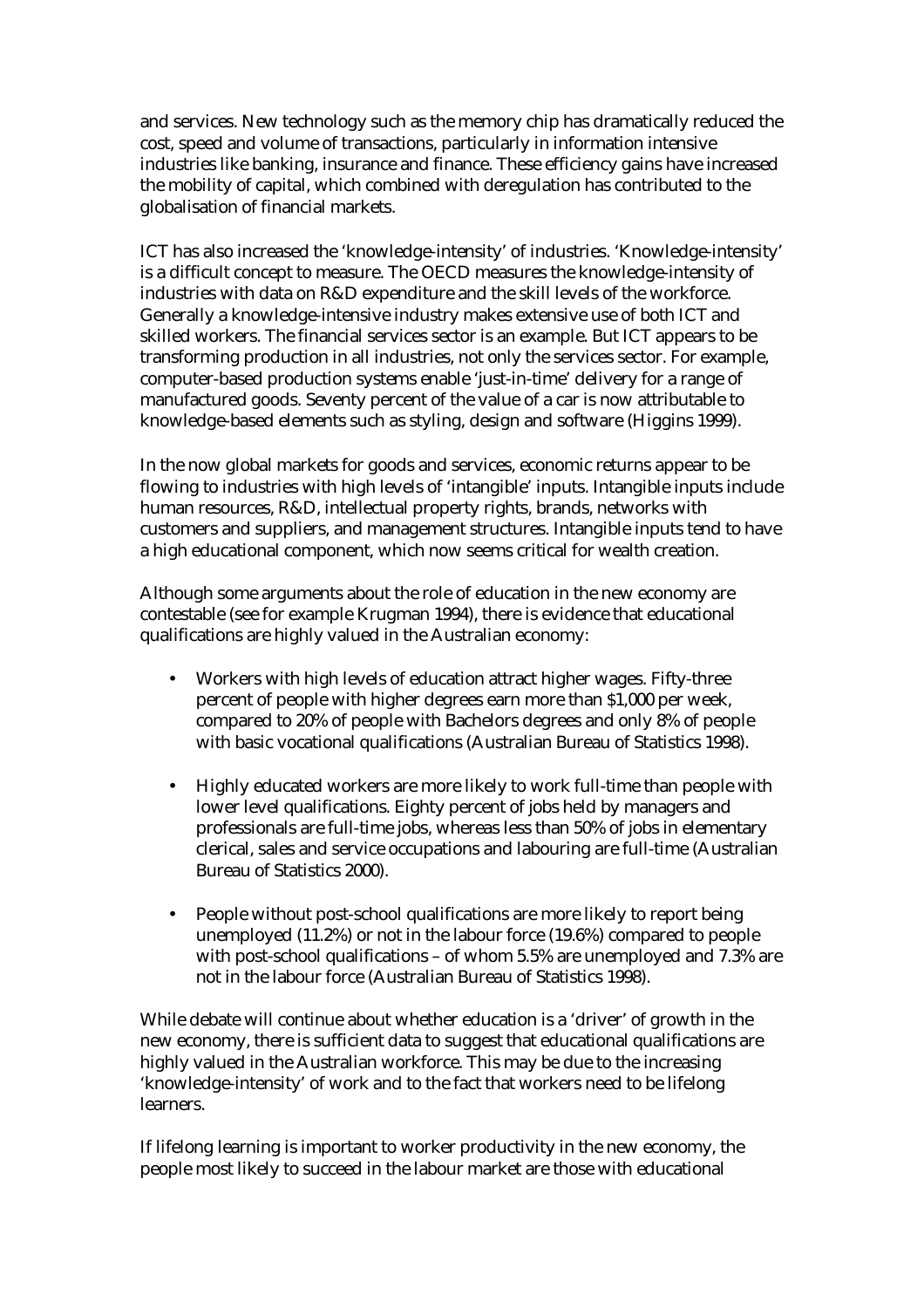and services. New technology such as the memory chip has dramatically reduced the cost, speed and volume of transactions, particularly in information intensive industries like banking, insurance and finance. These efficiency gains have increased the mobility of capital, which combined with deregulation has contributed to the globalisation of financial markets.

ICT has also increased the 'knowledge-intensity' of industries. 'Knowledge-intensity' is a difficult concept to measure. The OECD measures the knowledge-intensity of industries with data on R&D expenditure and the skill levels of the workforce. Generally a knowledge-intensive industry makes extensive use of both ICT and skilled workers. The financial services sector is an example. But ICT appears to be transforming production in all industries, not only the services sector. For example, computer-based production systems enable 'just-in-time' delivery for a range of manufactured goods. Seventy percent of the value of a car is now attributable to knowledge-based elements such as styling, design and software (Higgins 1999).

In the now global markets for goods and services, economic returns appear to be flowing to industries with high levels of 'intangible' inputs. Intangible inputs include human resources, R&D, intellectual property rights, brands, networks with customers and suppliers, and management structures. Intangible inputs tend to have a high educational component, which now seems critical for wealth creation.

Although some arguments about the role of education in the new economy are contestable (see for example Krugman 1994), there is evidence that educational qualifications are highly valued in the Australian economy:

- Workers with high levels of education attract higher wages. Fifty-three percent of people with higher degrees earn more than \$1,000 per week, compared to 20% of people with Bachelors degrees and only 8% of people with basic vocational qualifications (Australian Bureau of Statistics 1998).
- Highly educated workers are more likely to work full-time than people with lower level qualifications. Eighty percent of jobs held by managers and professionals are full-time jobs, whereas less than 50% of jobs in elementary clerical, sales and service occupations and labouring are full-time (Australian Bureau of Statistics 2000).
- People without post-school qualifications are more likely to report being unemployed (11.2%) or not in the labour force (19.6%) compared to people with post-school qualifications – of whom 5.5% are unemployed and 7.3% are not in the labour force (Australian Bureau of Statistics 1998).

While debate will continue about whether education is a 'driver' of growth in the new economy, there is sufficient data to suggest that educational qualifications are highly valued in the Australian workforce. This may be due to the increasing 'knowledge-intensity' of work and to the fact that workers need to be lifelong learners.

If lifelong learning is important to worker productivity in the new economy, the people most likely to succeed in the labour market are those with educational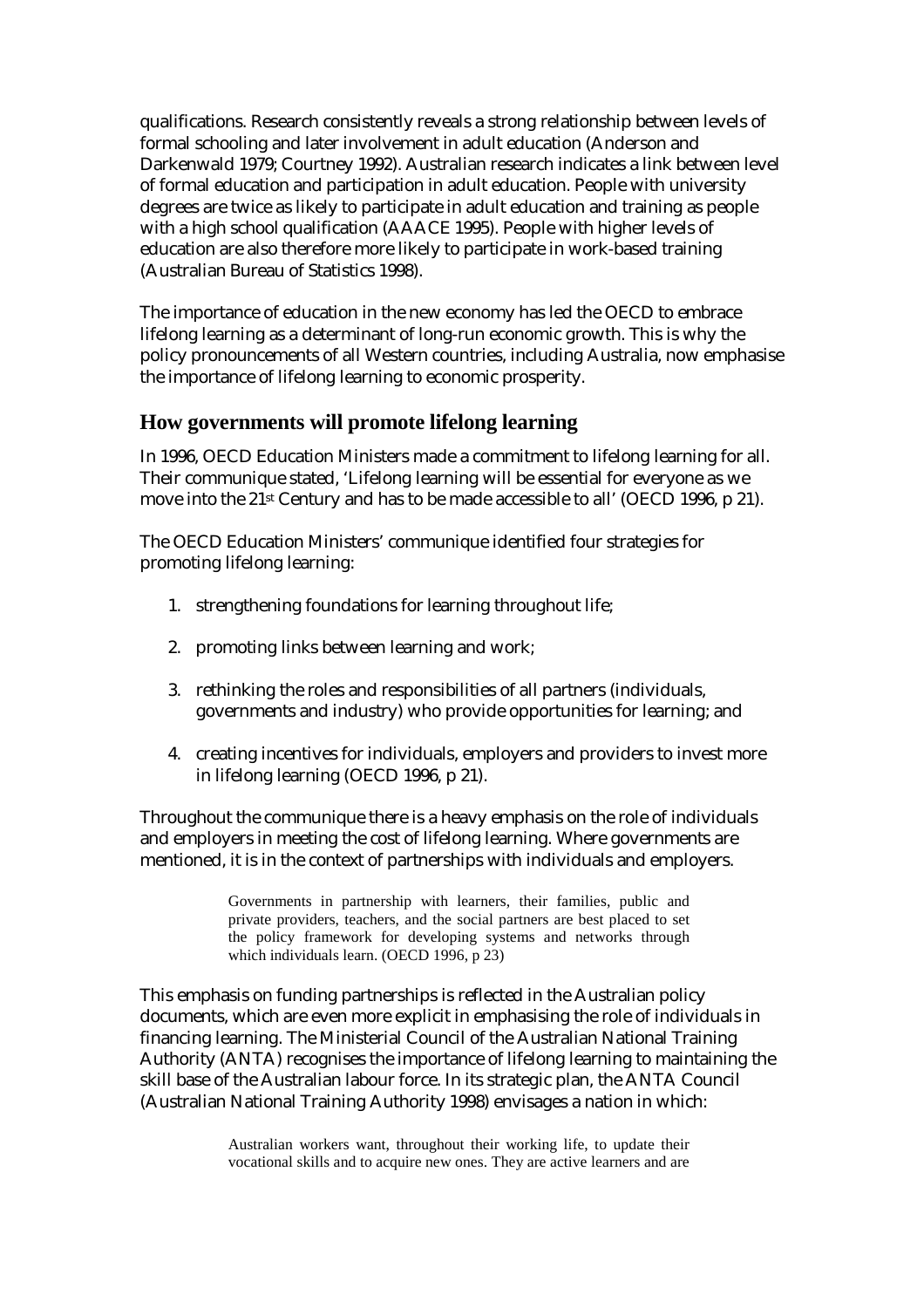qualifications. Research consistently reveals a strong relationship between levels of formal schooling and later involvement in adult education (Anderson and Darkenwald 1979; Courtney 1992). Australian research indicates a link between level of formal education and participation in adult education. People with university degrees are twice as likely to participate in adult education and training as people with a high school qualification (AAACE 1995). People with higher levels of education are also therefore more likely to participate in work-based training (Australian Bureau of Statistics 1998).

The importance of education in the new economy has led the OECD to embrace lifelong learning as a determinant of long-run economic growth. This is why the policy pronouncements of all Western countries, including Australia, now emphasise the importance of lifelong learning to economic prosperity.

# **How governments will promote lifelong learning**

In 1996, OECD Education Ministers made a commitment to lifelong learning for all. Their communique stated, 'Lifelong learning will be essential for everyone as we move into the 21st Century and has to be made accessible to all' (OECD 1996, p 21).

The OECD Education Ministers' communique identified four strategies for promoting lifelong learning:

- 1. strengthening foundations for learning throughout life;
- 2. promoting links between learning and work;
- 3. rethinking the roles and responsibilities of all partners (individuals, governments and industry) who provide opportunities for learning; and
- 4. creating incentives for individuals, employers and providers to invest more in lifelong learning (OECD 1996, p 21).

Throughout the communique there is a heavy emphasis on the role of individuals and employers in meeting the cost of lifelong learning. Where governments are mentioned, it is in the context of partnerships with individuals and employers.

> Governments in partnership with learners, their families, public and private providers, teachers, and the social partners are best placed to set the policy framework for developing systems and networks through which individuals learn. (OECD 1996, p 23)

This emphasis on funding partnerships is reflected in the Australian policy documents, which are even more explicit in emphasising the role of individuals in financing learning. The Ministerial Council of the Australian National Training Authority (ANTA) recognises the importance of lifelong learning to maintaining the skill base of the Australian labour force. In its strategic plan, the ANTA Council (Australian National Training Authority 1998) envisages a nation in which: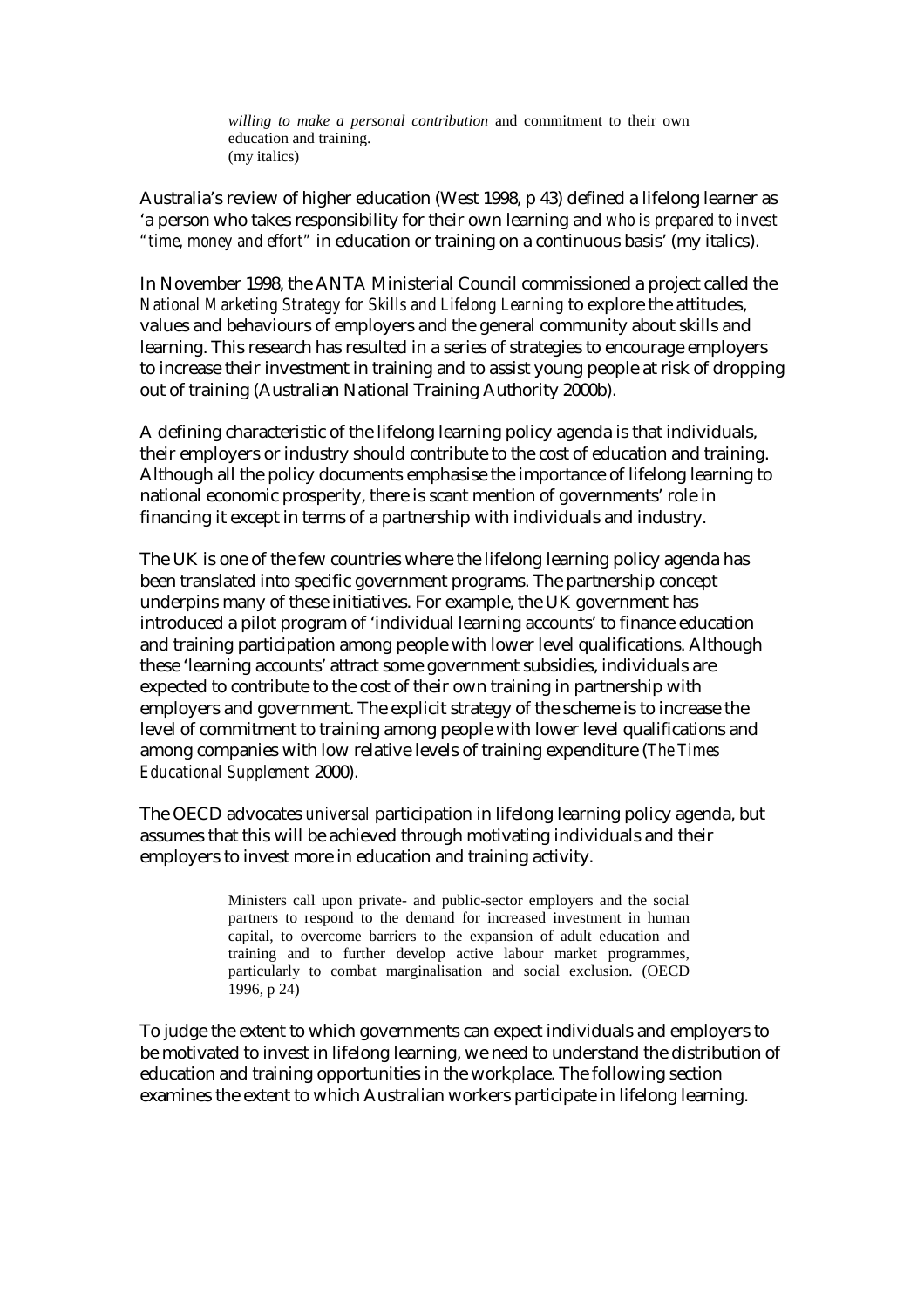*willing to make a personal contribution* and commitment to their own education and training. (my italics)

Australia's review of higher education (West 1998, p 43) defined a lifelong learner as 'a person who takes responsibility for their own learning and *who is prepared to invest "time, money and effort"* in education or training on a continuous basis' (my italics).

In November 1998, the ANTA Ministerial Council commissioned a project called the *National Marketing Strategy for Skills and Lifelong Learning* to explore the attitudes, values and behaviours of employers and the general community about skills and learning. This research has resulted in a series of strategies to encourage employers to increase their investment in training and to assist young people at risk of dropping out of training (Australian National Training Authority 2000b).

A defining characteristic of the lifelong learning policy agenda is that individuals, their employers or industry should contribute to the cost of education and training. Although all the policy documents emphasise the importance of lifelong learning to national economic prosperity, there is scant mention of governments' role in financing it except in terms of a partnership with individuals and industry.

The UK is one of the few countries where the lifelong learning policy agenda has been translated into specific government programs. The partnership concept underpins many of these initiatives. For example, the UK government has introduced a pilot program of 'individual learning accounts' to finance education and training participation among people with lower level qualifications. Although these 'learning accounts' attract some government subsidies, individuals are expected to contribute to the cost of their own training in partnership with employers and government. The explicit strategy of the scheme is to increase the level of commitment to training among people with lower level qualifications and among companies with low relative levels of training expenditure (*The Times Educational Supplement* 2000).

The OECD advocates *universal* participation in lifelong learning policy agenda, but assumes that this will be achieved through motivating individuals and their employers to invest more in education and training activity.

> Ministers call upon private- and public-sector employers and the social partners to respond to the demand for increased investment in human capital, to overcome barriers to the expansion of adult education and training and to further develop active labour market programmes, particularly to combat marginalisation and social exclusion. (OECD 1996, p 24)

To judge the extent to which governments can expect individuals and employers to be motivated to invest in lifelong learning, we need to understand the distribution of education and training opportunities in the workplace. The following section examines the extent to which Australian workers participate in lifelong learning.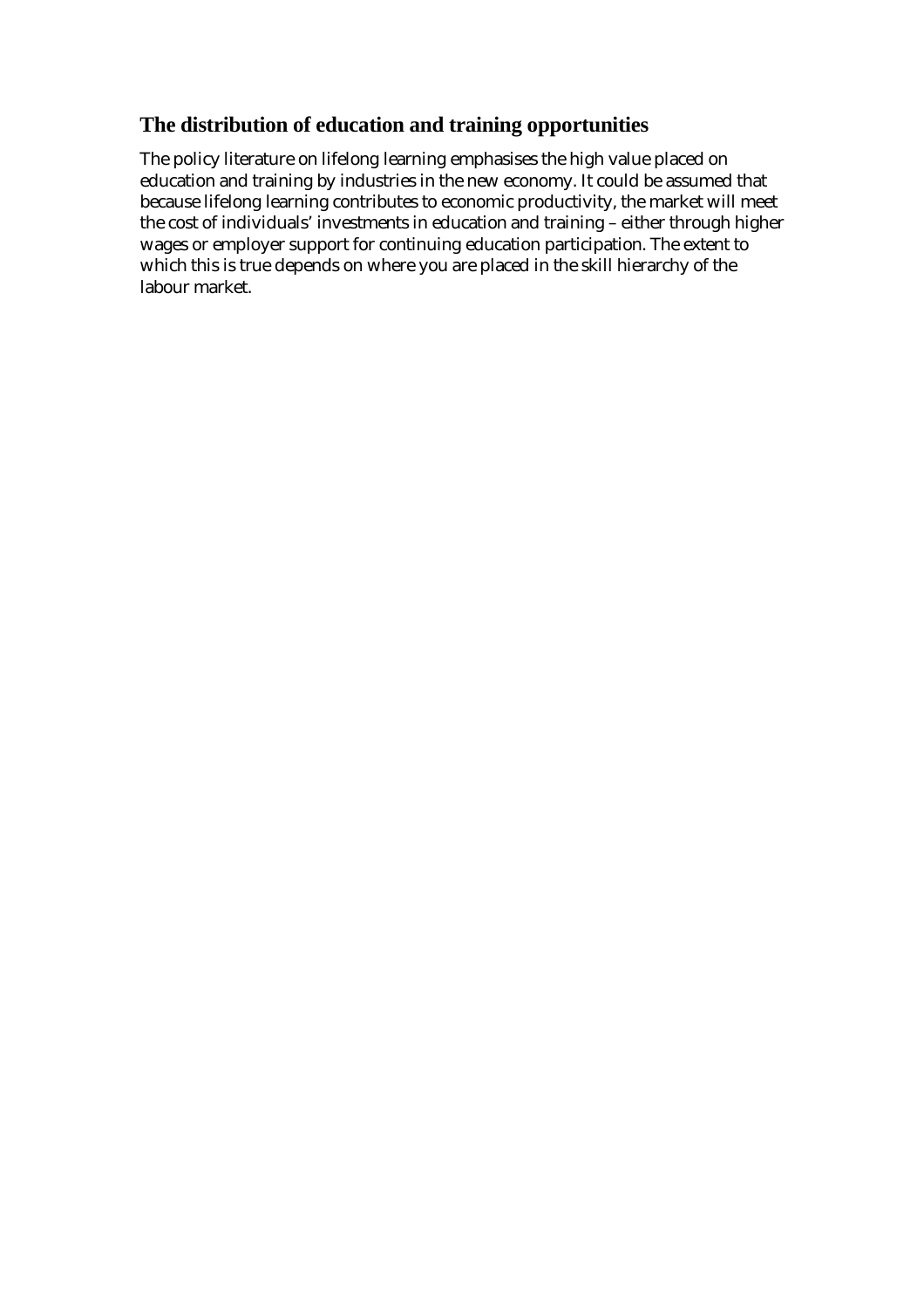# **The distribution of education and training opportunities**

The policy literature on lifelong learning emphasises the high value placed on education and training by industries in the new economy. It could be assumed that because lifelong learning contributes to economic productivity, the market will meet the cost of individuals' investments in education and training – either through higher wages or employer support for continuing education participation. The extent to which this is true depends on where you are placed in the skill hierarchy of the labour market.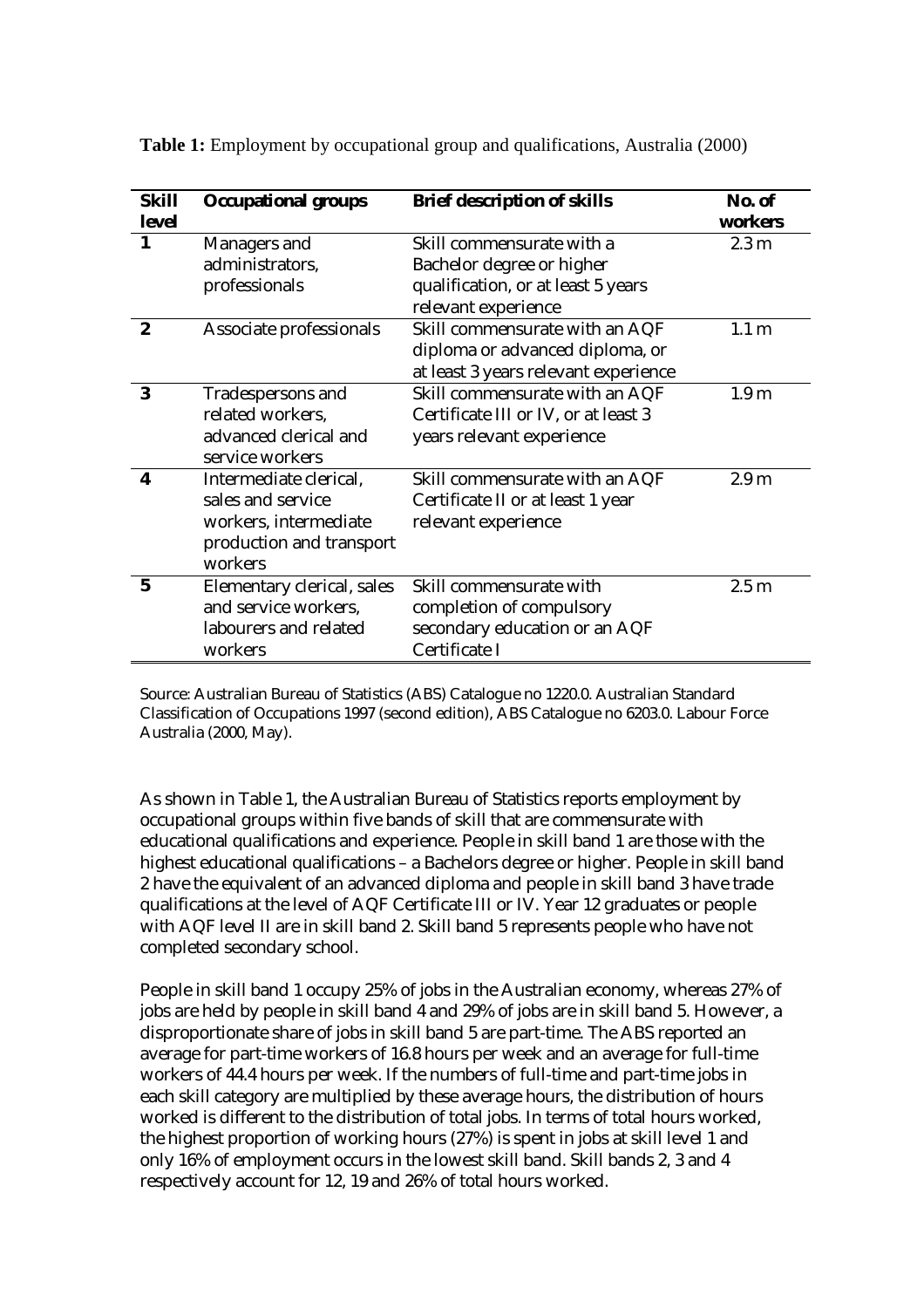| <b>Skill</b><br>level | <b>Occupational groups</b>                                                                                  | <b>Brief description of skills</b>                                                                                  | No. of<br>workers |
|-----------------------|-------------------------------------------------------------------------------------------------------------|---------------------------------------------------------------------------------------------------------------------|-------------------|
| $\mathbf{1}$          | Managers and<br>administrators,<br>professionals                                                            | Skill commensurate with a<br>Bachelor degree or higher<br>qualification, or at least 5 years<br>relevant experience | 2.3 <sub>m</sub>  |
| $\boldsymbol{2}$      | Associate professionals                                                                                     | Skill commensurate with an AQF<br>diploma or advanced diploma, or<br>at least 3 years relevant experience           | 1.1 <sub>m</sub>  |
| 3                     | Tradespersons and<br>related workers.<br>advanced clerical and<br>service workers                           | Skill commensurate with an AQF<br>Certificate III or IV, or at least 3<br>years relevant experience                 | 1.9 <sub>m</sub>  |
| $\boldsymbol{4}$      | Intermediate clerical,<br>sales and service<br>workers, intermediate<br>production and transport<br>workers | Skill commensurate with an AQF<br>Certificate II or at least 1 year<br>relevant experience                          | 2.9 <sub>m</sub>  |
| $5\overline{)}$       | Elementary clerical, sales<br>and service workers,<br>labourers and related<br>workers                      | Skill commensurate with<br>completion of compulsory<br>secondary education or an AQF<br>Certificate I               | 2.5 <sub>m</sub>  |

**Table 1:** Employment by occupational group and qualifications, Australia (2000)

Source: Australian Bureau of Statistics (ABS) Catalogue no 1220.0. Australian Standard Classification of Occupations 1997 (second edition), ABS Catalogue no 6203.0. Labour Force Australia (2000, May).

As shown in Table 1, the Australian Bureau of Statistics reports employment by occupational groups within five bands of skill that are commensurate with educational qualifications and experience. People in skill band 1 are those with the highest educational qualifications – a Bachelors degree or higher. People in skill band 2 have the equivalent of an advanced diploma and people in skill band 3 have trade qualifications at the level of AQF Certificate III or IV. Year 12 graduates or people with AQF level II are in skill band 2. Skill band 5 represents people who have not completed secondary school.

People in skill band 1 occupy 25% of jobs in the Australian economy, whereas 27% of jobs are held by people in skill band 4 and 29% of jobs are in skill band 5. However, a disproportionate share of jobs in skill band 5 are part-time. The ABS reported an average for part-time workers of 16.8 hours per week and an average for full-time workers of 44.4 hours per week. If the numbers of full-time and part-time jobs in each skill category are multiplied by these average hours, the distribution of hours worked is different to the distribution of total jobs. In terms of total hours worked, the highest proportion of working hours (27%) is spent in jobs at skill level 1 and only 16% of employment occurs in the lowest skill band. Skill bands 2, 3 and 4 respectively account for 12, 19 and 26% of total hours worked.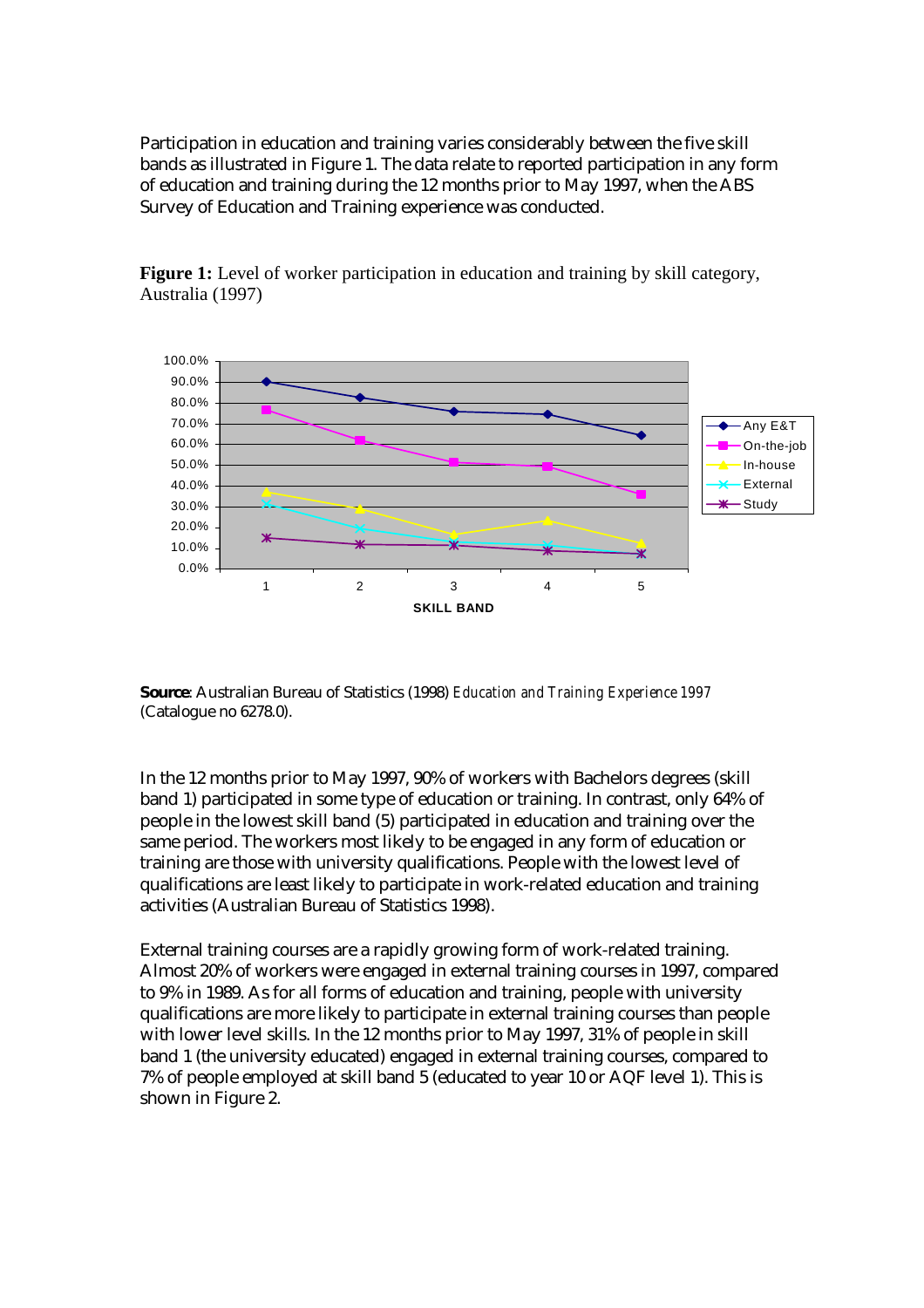Participation in education and training varies considerably between the five skill bands as illustrated in Figure 1. The data relate to reported participation in any form of education and training during the 12 months prior to May 1997, when the ABS Survey of Education and Training experience was conducted.



**Figure 1:** Level of worker participation in education and training by skill category, Australia (1997)

**Source**: Australian Bureau of Statistics (1998) *Education and Training Experience 1997* (Catalogue no 6278.0).

In the 12 months prior to May 1997, 90% of workers with Bachelors degrees (skill band 1) participated in some type of education or training. In contrast, only 64% of people in the lowest skill band (5) participated in education and training over the same period. The workers most likely to be engaged in any form of education or training are those with university qualifications. People with the lowest level of qualifications are least likely to participate in work-related education and training activities (Australian Bureau of Statistics 1998).

External training courses are a rapidly growing form of work-related training. Almost 20% of workers were engaged in external training courses in 1997, compared to 9% in 1989. As for all forms of education and training, people with university qualifications are more likely to participate in external training courses than people with lower level skills. In the 12 months prior to May 1997, 31% of people in skill band 1 (the university educated) engaged in external training courses, compared to 7% of people employed at skill band 5 (educated to year 10 or AQF level 1). This is shown in Figure 2.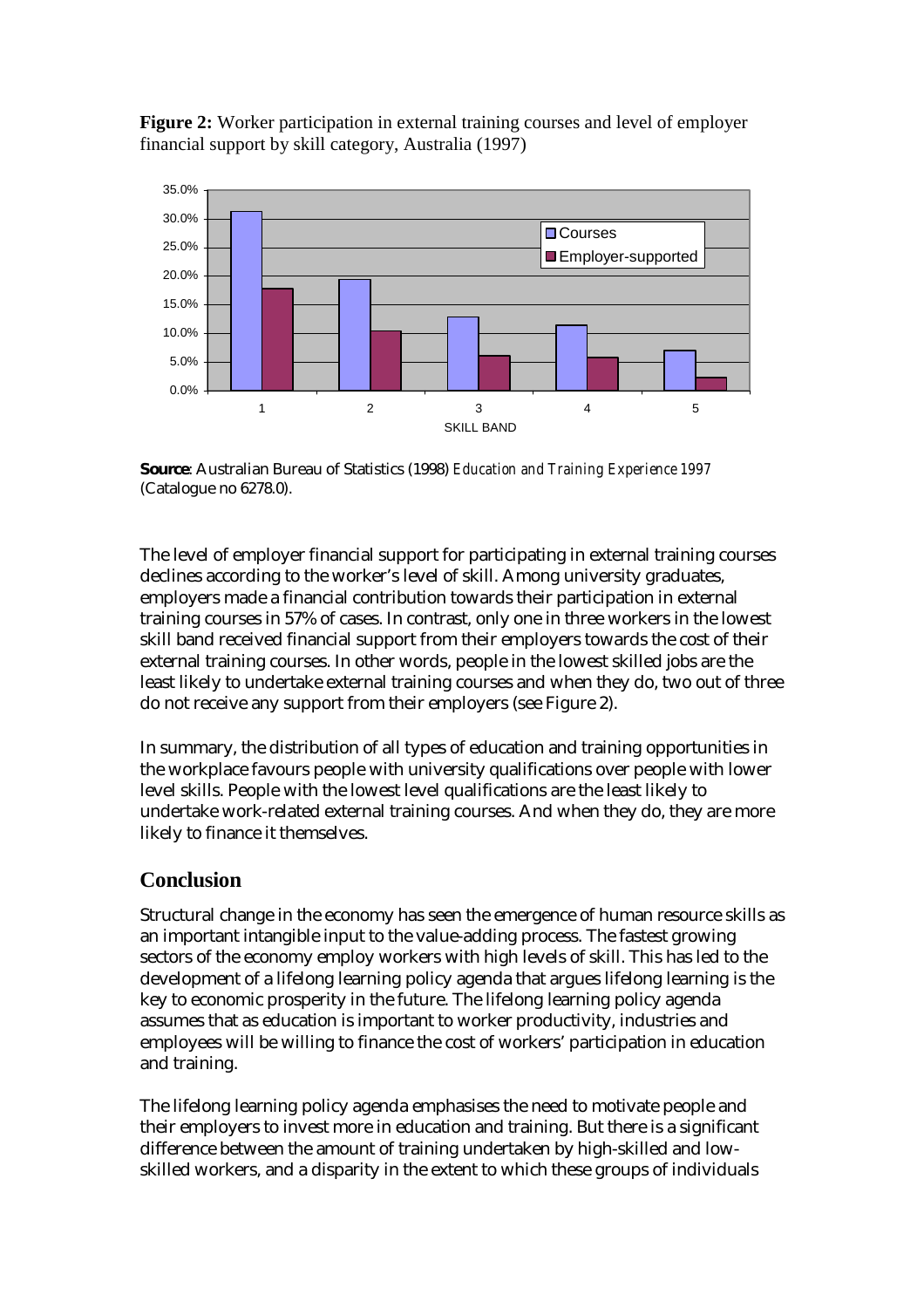**Figure 2:** Worker participation in external training courses and level of employer financial support by skill category, Australia (1997)



**Source**: Australian Bureau of Statistics (1998) *Education and Training Experience 1997* (Catalogue no 6278.0).

The level of employer financial support for participating in external training courses declines according to the worker's level of skill. Among university graduates, employers made a financial contribution towards their participation in external training courses in 57% of cases. In contrast, only one in three workers in the lowest skill band received financial support from their employers towards the cost of their external training courses. In other words, people in the lowest skilled jobs are the least likely to undertake external training courses and when they do, two out of three do not receive any support from their employers (see Figure 2).

In summary, the distribution of all types of education and training opportunities in the workplace favours people with university qualifications over people with lower level skills. People with the lowest level qualifications are the least likely to undertake work-related external training courses. And when they do, they are more likely to finance it themselves.

## **Conclusion**

Structural change in the economy has seen the emergence of human resource skills as an important intangible input to the value-adding process. The fastest growing sectors of the economy employ workers with high levels of skill. This has led to the development of a lifelong learning policy agenda that argues lifelong learning is the key to economic prosperity in the future. The lifelong learning policy agenda assumes that as education is important to worker productivity, industries and employees will be willing to finance the cost of workers' participation in education and training.

The lifelong learning policy agenda emphasises the need to motivate people and their employers to invest more in education and training. But there is a significant difference between the amount of training undertaken by high-skilled and lowskilled workers, and a disparity in the extent to which these groups of individuals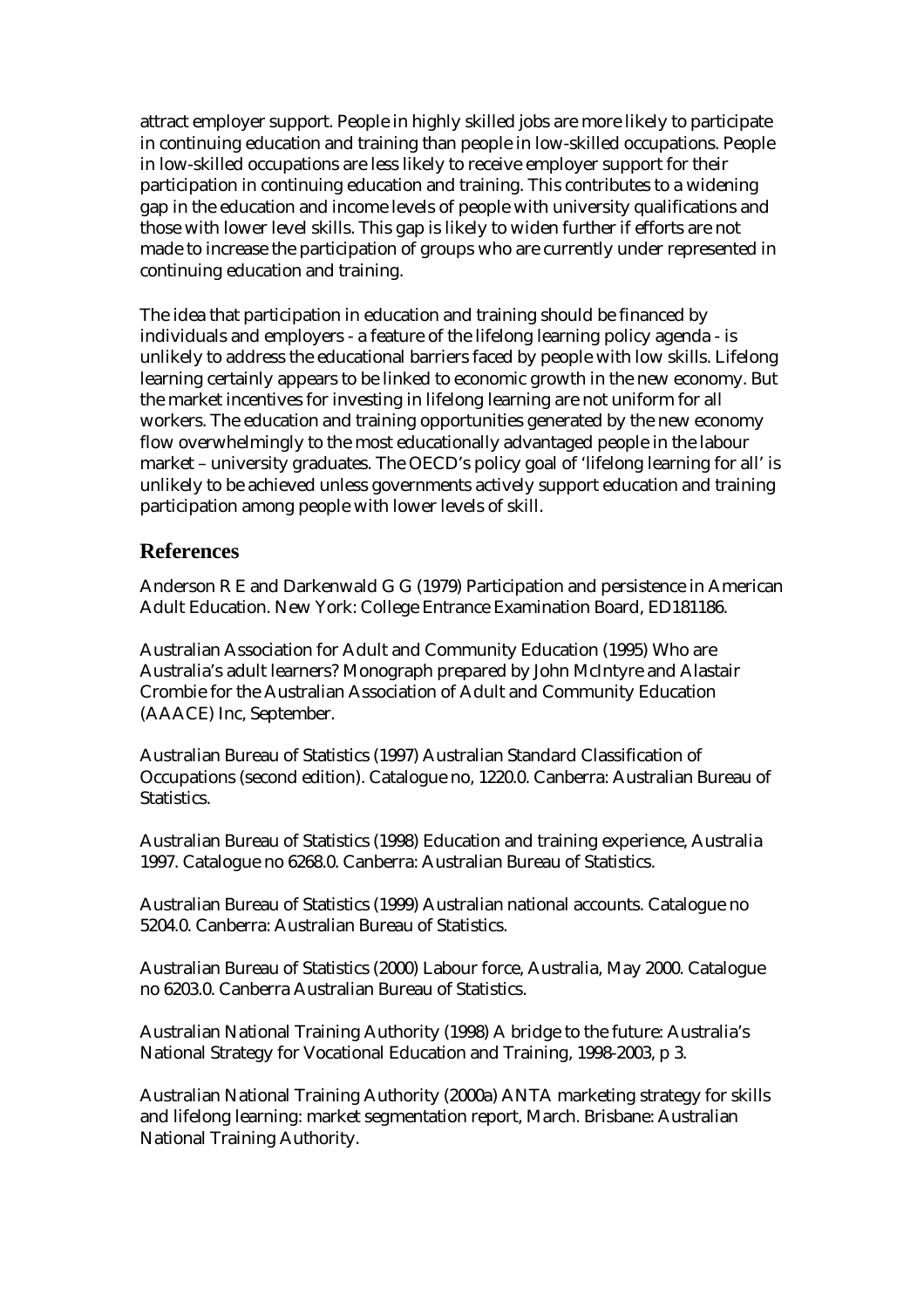attract employer support. People in highly skilled jobs are more likely to participate in continuing education and training than people in low-skilled occupations. People in low-skilled occupations are less likely to receive employer support for their participation in continuing education and training. This contributes to a widening gap in the education and income levels of people with university qualifications and those with lower level skills. This gap is likely to widen further if efforts are not made to increase the participation of groups who are currently under represented in continuing education and training.

The idea that participation in education and training should be financed by individuals and employers - a feature of the lifelong learning policy agenda - is unlikely to address the educational barriers faced by people with low skills. Lifelong learning certainly appears to be linked to economic growth in the new economy. But the market incentives for investing in lifelong learning are not uniform for all workers. The education and training opportunities generated by the new economy flow overwhelmingly to the most educationally advantaged people in the labour market – university graduates. The OECD's policy goal of 'lifelong learning for all' is unlikely to be achieved unless governments actively support education and training participation among people with lower levels of skill.

### **References**

Anderson R E and Darkenwald G G (1979) Participation and persistence in American Adult Education. New York: College Entrance Examination Board, ED181186.

Australian Association for Adult and Community Education (1995) Who are Australia's adult learners? Monograph prepared by John McIntyre and Alastair Crombie for the Australian Association of Adult and Community Education (AAACE) Inc, September.

Australian Bureau of Statistics (1997) Australian Standard Classification of Occupations (second edition). Catalogue no, 1220.0. Canberra: Australian Bureau of Statistics.

Australian Bureau of Statistics (1998) Education and training experience, Australia 1997. Catalogue no 6268.0. Canberra: Australian Bureau of Statistics.

Australian Bureau of Statistics (1999) Australian national accounts. Catalogue no 5204.0. Canberra: Australian Bureau of Statistics.

Australian Bureau of Statistics (2000) Labour force, Australia, May 2000. Catalogue no 6203.0. Canberra Australian Bureau of Statistics.

Australian National Training Authority (1998) A bridge to the future: Australia's National Strategy for Vocational Education and Training, 1998-2003, p 3.

Australian National Training Authority (2000a) ANTA marketing strategy for skills and lifelong learning: market segmentation report, March. Brisbane: Australian National Training Authority.